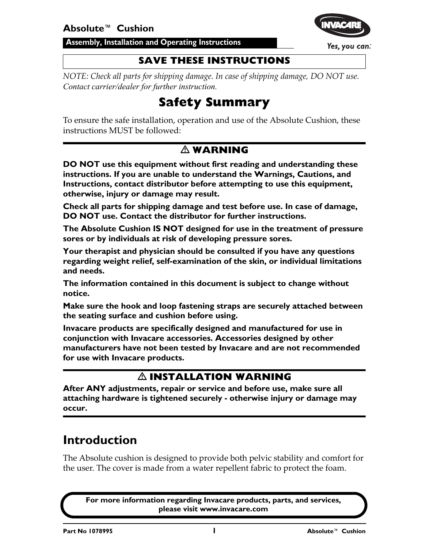**Assembly, Installation and Operating Instructions**



Yes, you can.

#### **SAVE THESE INSTRUCTIONS**

*NOTE: Check all parts for shipping damage. In case of shipping damage, DO NOT use. Contact carrier/dealer for further instruction.*

### **Safety Summary**

To ensure the safe installation, operation and use of the Absolute Cushion, these instructions MUST be followed:

#### **WARNING**

**DO NOT use this equipment without first reading and understanding these instructions. If you are unable to understand the Warnings, Cautions, and Instructions, contact distributor before attempting to use this equipment, otherwise, injury or damage may result.**

**Check all parts for shipping damage and test before use. In case of damage, DO NOT use. Contact the distributor for further instructions.**

**The Absolute Cushion IS NOT designed for use in the treatment of pressure sores or by individuals at risk of developing pressure sores.**

**Your therapist and physician should be consulted if you have any questions regarding weight relief, self-examination of the skin, or individual limitations and needs.**

**The information contained in this document is subject to change without notice.**

**Make sure the hook and loop fastening straps are securely attached between the seating surface and cushion before using.**

**Invacare products are specifically designed and manufactured for use in conjunction with Invacare accessories. Accessories designed by other manufacturers have not been tested by Invacare and are not recommended for use with Invacare products.**

#### **INSTALLATION WARNING**

**After ANY adjustments, repair or service and before use, make sure all attaching hardware is tightened securely - otherwise injury or damage may occur.**

### **Introduction**

The Absolute cushion is designed to provide both pelvic stability and comfort for the user. The cover is made from a water repellent fabric to protect the foam.

**For more information regarding Invacare products, parts, and services, please visit www.invacare.com**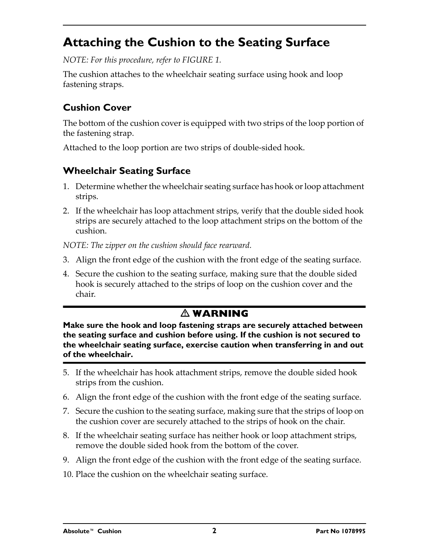### <span id="page-1-0"></span>**Attaching the Cushion to the Seating Surface**

*NOTE: For this procedure, refer to [FIGURE 1](#page-2-0).*

The cushion attaches to the wheelchair seating surface using hook and loop fastening straps.

#### **Cushion Cover**

The bottom of the cushion cover is equipped with two strips of the loop portion of the fastening strap.

Attached to the loop portion are two strips of double-sided hook.

#### **Wheelchair Seating Surface**

- 1. Determine whether the wheelchair seating surface has hook or loop attachment strips.
- 2. If the wheelchair has loop attachment strips, verify that the double sided hook strips are securely attached to the loop attachment strips on the bottom of the cushion.

*NOTE: The zipper on the cushion should face rearward.*

- 3. Align the front edge of the cushion with the front edge of the seating surface.
- 4. Secure the cushion to the seating surface, making sure that the double sided hook is securely attached to the strips of loop on the cushion cover and the chair.

#### **WARNING**

**Make sure the hook and loop fastening straps are securely attached between the seating surface and cushion before using. If the cushion is not secured to the wheelchair seating surface, exercise caution when transferring in and out of the wheelchair.**

- 5. If the wheelchair has hook attachment strips, remove the double sided hook strips from the cushion.
- 6. Align the front edge of the cushion with the front edge of the seating surface.
- 7. Secure the cushion to the seating surface, making sure that the strips of loop on the cushion cover are securely attached to the strips of hook on the chair.
- 8. If the wheelchair seating surface has neither hook or loop attachment strips, remove the double sided hook from the bottom of the cover.
- 9. Align the front edge of the cushion with the front edge of the seating surface.
- 10. Place the cushion on the wheelchair seating surface.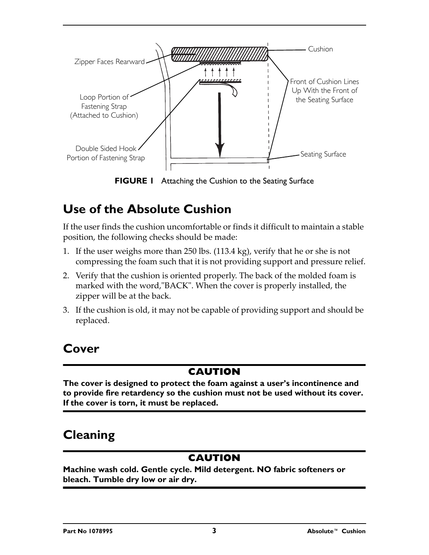

**FIGURE 1** [Attaching the Cushion to the Seating Surface](#page-1-0)

### <span id="page-2-0"></span>**Use of the Absolute Cushion**

If the user finds the cushion uncomfortable or finds it difficult to maintain a stable position, the following checks should be made:

- 1. If the user weighs more than 250 lbs. (113.4 kg), verify that he or she is not compressing the foam such that it is not providing support and pressure relief.
- 2. Verify that the cushion is oriented properly. The back of the molded foam is marked with the word, "BACK". When the cover is properly installed, the zipper will be at the back.
- 3. If the cushion is old, it may not be capable of providing support and should be replaced.

## **Cover**

### **CAUTION**

**The cover is designed to protect the foam against a user's incontinence and to provide fire retardency so the cushion must not be used without its cover. If the cover is torn, it must be replaced.**

## **Cleaning**

### **CAUTION**

**Machine wash cold. Gentle cycle. Mild detergent. NO fabric softeners or bleach. Tumble dry low or air dry.**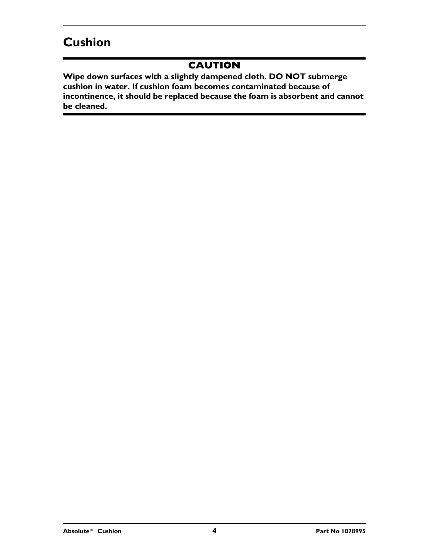## **Cushion**

#### **CAUTION**

**Wipe down surfaces with a slightly dampened cloth. DO NOT submerge cushion in water. If cushion foam becomes contaminated because of incontinence, it should be replaced because the foam is absorbent and cannot be cleaned.**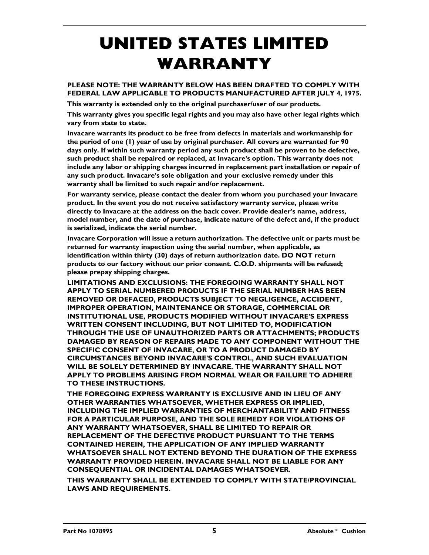# **UNITED STATES LIMITED WARRANTY**

#### **PLEASE NOTE: THE WARRANTY BELOW HAS BEEN DRAFTED TO COMPLY WITH FEDERAL LAW APPLICABLE TO PRODUCTS MANUFACTURED AFTER JULY 4, 1975.**

**This warranty is extended only to the original purchaser/user of our products.**

**This warranty gives you specific legal rights and you may also have other legal rights which vary from state to state.**

**Invacare warrants its product to be free from defects in materials and workmanship for the period of one (1) year of use by original purchaser. All covers are warranted for 90 days only. If within such warranty period any such product shall be proven to be defective, such product shall be repaired or replaced, at Invacare's option. This warranty does not include any labor or shipping charges incurred in replacement part installation or repair of any such product. Invacare's sole obligation and your exclusive remedy under this warranty shall be limited to such repair and/or replacement.**

**For warranty service, please contact the dealer from whom you purchased your Invacare product. In the event you do not receive satisfactory warranty service, please write directly to Invacare at the address on the back cover. Provide dealer's name, address, model number, and the date of purchase, indicate nature of the defect and, if the product is serialized, indicate the serial number.**

**Invacare Corporation will issue a return authorization. The defective unit or parts must be returned for warranty inspection using the serial number, when applicable, as identification within thirty (30) days of return authorization date. DO NOT return products to our factory without our prior consent. C.O.D. shipments will be refused; please prepay shipping charges.**

**LIMITATIONS AND EXCLUSIONS: THE FOREGOING WARRANTY SHALL NOT APPLY TO SERIAL NUMBERED PRODUCTS IF THE SERIAL NUMBER HAS BEEN REMOVED OR DEFACED, PRODUCTS SUBJECT TO NEGLIGENCE, ACCIDENT, IMPROPER OPERATION, MAINTENANCE OR STORAGE, COMMERCIAL OR INSTITUTIONAL USE, PRODUCTS MODIFIED WITHOUT INVACARE'S EXPRESS WRITTEN CONSENT INCLUDING, BUT NOT LIMITED TO, MODIFICATION THROUGH THE USE OF UNAUTHORIZED PARTS OR ATTACHMENTS; PRODUCTS DAMAGED BY REASON OF REPAIRS MADE TO ANY COMPONENT WITHOUT THE SPECIFIC CONSENT OF INVACARE, OR TO A PRODUCT DAMAGED BY CIRCUMSTANCES BEYOND INVACARE'S CONTROL, AND SUCH EVALUATION WILL BE SOLELY DETERMINED BY INVACARE. THE WARRANTY SHALL NOT APPLY TO PROBLEMS ARISING FROM NORMAL WEAR OR FAILURE TO ADHERE TO THESE INSTRUCTIONS.**

**THE FOREGOING EXPRESS WARRANTY IS EXCLUSIVE AND IN LIEU OF ANY OTHER WARRANTIES WHATSOEVER, WHETHER EXPRESS OR IMPLIED, INCLUDING THE IMPLIED WARRANTIES OF MERCHANTABILITY AND FITNESS FOR A PARTICULAR PURPOSE, AND THE SOLE REMEDY FOR VIOLATIONS OF ANY WARRANTY WHATSOEVER, SHALL BE LIMITED TO REPAIR OR REPLACEMENT OF THE DEFECTIVE PRODUCT PURSUANT TO THE TERMS CONTAINED HEREIN, THE APPLICATION OF ANY IMPLIED WARRANTY WHATSOEVER SHALL NOT EXTEND BEYOND THE DURATION OF THE EXPRESS WARRANTY PROVIDED HEREIN. INVACARE SHALL NOT BE LIABLE FOR ANY CONSEQUENTIAL OR INCIDENTAL DAMAGES WHATSOEVER.**

**THIS WARRANTY SHALL BE EXTENDED TO COMPLY WITH STATE/PROVINCIAL LAWS AND REQUIREMENTS.**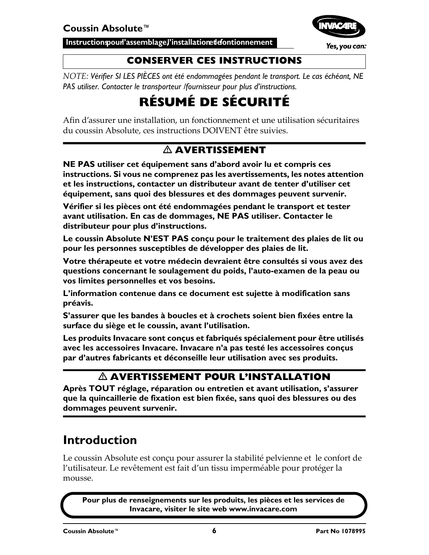Instruction pour l'assemblage, l'installation et dontionnement



Yes, you can:

#### **CONSERVER CES INSTRUCTIONS**

*NOTE: Vérifier SI LES PIÈCES ont été endommagées pendant le transport. Le cas échéant, NE PAS utiliser. Contacter le transporteur /fournisseur pour plus d'instructions.*

## **RÉSUMÉ DE SÉCURITÉ**

Afin d'assurer une installation, un fonctionnement et une utilisation sécuritaires du coussin Absolute, ces instructions DOIVENT être suivies.

### **AVERTISSEMENT**

**NE PAS utiliser cet équipement sans d'abord avoir lu et compris ces instructions. Si vous ne comprenez pas les avertissements, les notes attention et les instructions, contacter un distributeur avant de tenter d'utiliser cet équipement, sans quoi des blessures et des dommages peuvent survenir.** 

**Vérifier si les pièces ont été endommagées pendant le transport et tester avant utilisation. En cas de dommages, NE PAS utiliser. Contacter le distributeur pour plus d'instructions.**

**Le coussin Absolute N'EST PAS conçu pour le traitement des plaies de lit ou pour les personnes susceptibles de développer des plaies de lit.** 

**Votre thérapeute et votre médecin devraient être consultés si vous avez des questions concernant le soulagement du poids, l'auto-examen de la peau ou vos limites personnelles et vos besoins.**

**L'information contenue dans ce document est sujette à modification sans préavis.**

**S'assurer que les bandes à boucles et à crochets soient bien fixées entre la surface du siège et le coussin, avant l'utilisation.** 

**Les produits Invacare sont conçus et fabriqués spécialement pour être utilisés avec les accessoires Invacare. Invacare n'a pas testé les accessoires conçus par d'autres fabricants et déconseille leur utilisation avec ses produits.** 

#### **AVERTISSEMENT POUR L'INSTALLATION**

**Après TOUT réglage, réparation ou entretien et avant utilisation, s'assurer que la quincaillerie de fixation est bien fixée, sans quoi des blessures ou des dommages peuvent survenir.** 

### **Introduction**

Le coussin Absolute est conçu pour assurer la stabilité pelvienne et le confort de l'utilisateur. Le revêtement est fait d'un tissu imperméable pour protéger la mousse.

**Pour plus de renseignements sur les produits, les pièces et les services de Invacare, visiter le site web www.invacare.com**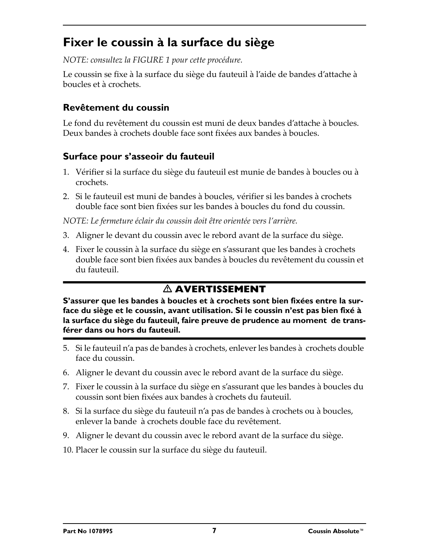### <span id="page-6-0"></span>**Fixer le coussin à la surface du siège**

*NOTE: consultez la [FIGURE 1](#page-7-0) pour cette procédure.*

Le coussin se fixe à la surface du siège du fauteuil à l'aide de bandes d'attache à boucles et à crochets.

#### **Revêtement du coussin**

Le fond du revêtement du coussin est muni de deux bandes d'attache à boucles. Deux bandes à crochets double face sont fixées aux bandes à boucles.

#### **Surface pour s'asseoir du fauteuil**

- 1. Vérifier si la surface du siège du fauteuil est munie de bandes à boucles ou à crochets.
- 2. Si le fauteuil est muni de bandes à boucles, vérifier si les bandes à crochets double face sont bien fixées sur les bandes à boucles du fond du coussin.

*NOTE: Le fermeture éclair du coussin doit être orientée vers l'arrière.*

- 3. Aligner le devant du coussin avec le rebord avant de la surface du siège.
- 4. Fixer le coussin à la surface du siège en s'assurant que les bandes à crochets double face sont bien fixées aux bandes à boucles du revêtement du coussin et du fauteuil.

### **AVERTISSEMENT**

**S'assurer que les bandes à boucles et à crochets sont bien fixées entre la surface du siège et le coussin, avant utilisation. Si le coussin n'est pas bien fixé à la surface du siège du fauteuil, faire preuve de prudence au moment de transférer dans ou hors du fauteuil.**

- 5. Si le fauteuil n'a pas de bandes à crochets, enlever les bandes à crochets double face du coussin.
- 6. Aligner le devant du coussin avec le rebord avant de la surface du siège.
- 7. Fixer le coussin à la surface du siège en s'assurant que les bandes à boucles du coussin sont bien fixées aux bandes à crochets du fauteuil.
- 8. Si la surface du siège du fauteuil n'a pas de bandes à crochets ou à boucles, enlever la bande à crochets double face du revêtement.
- 9. Aligner le devant du coussin avec le rebord avant de la surface du siège.
- 10. Placer le coussin sur la surface du siège du fauteuil.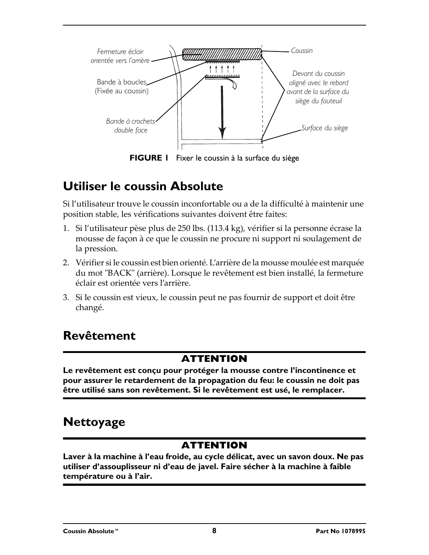

**FIGURE 1** [Fixer le coussin à la surface du siège](#page-6-0)

### <span id="page-7-0"></span>**Utiliser le coussin Absolute**

Si l'utilisateur trouve le coussin inconfortable ou a de la difficulté à maintenir une position stable, les vérifications suivantes doivent être faites:

- 1. Si l'utilisateur pèse plus de 250 lbs. (113.4 kg), vérifier si la personne écrase la mousse de façon à ce que le coussin ne procure ni support ni soulagement de la pression.
- 2. Vérifier si le coussin est bien orienté. L'arrière de la mousse moulée est marquée du mot "BACK" (arrière). Lorsque le revêtement est bien installé, la fermeture éclair est orientée vers l'arrière.
- 3. Si le coussin est vieux, le coussin peut ne pas fournir de support et doit être changé.

### **Revêtement**

#### **ATTENTION**

**Le revêtement est conçu pour protéger la mousse contre l'incontinence et pour assurer le retardement de la propagation du feu: le coussin ne doit pas être utilisé sans son revêtement. Si le revêtement est usé, le remplacer.**

### **Nettoyage**

#### **ATTENTION**

**Laver à la machine à l'eau froide, au cycle délicat, avec un savon doux. Ne pas utiliser d'assouplisseur ni d'eau de javel. Faire sécher à la machine à faible température ou à l'air.**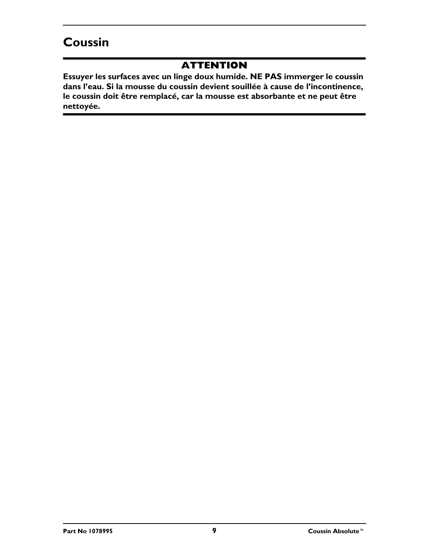### **Coussin**

#### **ATTENTION**

**Essuyer les surfaces avec un linge doux humide. NE PAS immerger le coussin dans l'eau. Si la mousse du coussin devient souillée à cause de l'incontinence, le coussin doit être remplacé, car la mousse est absorbante et ne peut être nettoyée.**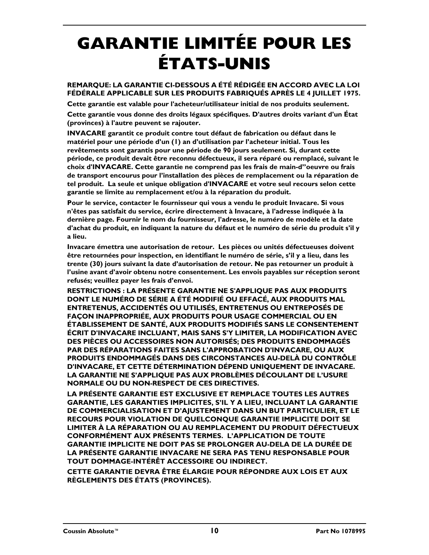# **GARANTIE LIMITÉE POUR LES ÉTATS-UNIS**

#### **REMARQUE: LA GARANTIE CI-DESSOUS A ÉTÉ RÉDIGÉE EN ACCORD AVEC LA LOI FÉDÉRALE APPLICABLE SUR LES PRODUITS FABRIQUÉS APRÈS LE 4 JUILLET 1975.**

**Cette garantie est valable pour l'acheteur/utilisateur initial de nos produits seulement.** 

**Cette garantie vous donne des droits légaux spécifiques. D'autres droits variant d'un État (provinces) à l'autre peuvent se rajouter.**

**INVACARE garantit ce produit contre tout défaut de fabrication ou défaut dans le matériel pour une période d'un (1) an d'utilisation par l'acheteur initial. Tous les revêtements sont garantis pour une période de 90 jours seulement. Si, durant cette période, ce produit devait être reconnu défectueux, il sera réparé ou remplacé, suivant le choix d'INVACARE. Cette garantie ne comprend pas les frais de main-d"oeuvre ou frais de transport encourus pour l'installation des pièces de remplacement ou la réparation de tel produit. La seule et unique obligation d'INVACARE et votre seul recours selon cette garantie se limite au remplacement et/ou à la réparation du produit.**

**Pour le service, contacter le fournisseur qui vous a vendu le produit Invacare. Si vous n'êtes pas satisfait du service, écrire directement à Invacare, à l'adresse indiquée à la dernière page. Fournir le nom du fournisseur, l'adresse, le numéro de modèle et la date d'achat du produit, en indiquant la nature du défaut et le numéro de série du produit s'il y a lieu.**

**Invacare émettra une autorisation de retour. Les pièces ou unités défectueuses doivent être retournées pour inspection, en identifiant le numéro de série, s'il y a lieu, dans les trente (30) jours suivant la date d'autorisation de retour. Ne pas retourner un produit à l'usine avant d'avoir obtenu notre consentement. Les envois payables sur réception seront refusés; veuillez payer les frais d'envoi.** 

**RESTRICTIONS : LA PRÉSENTE GARANTIE NE S'APPLIQUE PAS AUX PRODUITS DONT LE NUMÉRO DE SÉRIE A ÉTÉ MODIFIÉ OU EFFACÉ, AUX PRODUITS MAL ENTRETENUS, ACCIDENTÉS OU UTILISÉS, ENTRETENUS OU ENTREPOSÉS DE FAÇON INAPPROPRIÉE, AUX PRODUITS POUR USAGE COMMERCIAL OU EN ÉTABLISSEMENT DE SANTÉ, AUX PRODUITS MODIFIÉS SANS LE CONSENTEMENT ÉCRIT D'INVACARE INCLUANT, MAIS SANS S'Y LIMITER, LA MODIFICATION AVEC DES PIÈCES OU ACCESSOIRES NON AUTORISÉS; DES PRODUITS ENDOMMAGÉS PAR DES RÉPARATIONS FAITES SANS L'APPROBATION D'INVACARE, OU AUX PRODUITS ENDOMMAGÉS DANS DES CIRCONSTANCES AU-DELÀ DU CONTRÔLE D'INVACARE, ET CETTE DÉTERMINATION DÉPEND UNIQUEMENT DE INVACARE. LA GARANTIE NE S'APPLIQUE PAS AUX PROBLÈMES DÉCOULANT DE L'USURE NORMALE OU DU NON-RESPECT DE CES DIRECTIVES.**

**LA PRÉSENTE GARANTIE EST EXCLUSIVE ET REMPLACE TOUTES LES AUTRES GARANTIE, LES GARANTIES IMPLICITES, S'IL Y A LIEU, INCLUANT LA GARANTIE DE COMMERCIALISATION ET D'AJUSTEMENT DANS UN BUT PARTICULIER, ET LE RECOURS POUR VIOLATION DE QUELCONQUE GARANTIE IMPLICITE DOIT SE LIMITER À LA RÉPARATION OU AU REMPLACEMENT DU PRODUIT DÉFECTUEUX CONFORMÉMENT AUX PRÉSENTS TERMES. L'APPLICATION DE TOUTE GARANTIE IMPLICITE NE DOIT PAS SE PROLONGER AU-DELA DE LA DURÉE DE LA PRÉSENTE GARANTIE INVACARE NE SERA PAS TENU RESPONSABLE POUR TOUT DOMMAGE-INTÉRÊT ACCESSOIRE OU INDIRECT.**

**CETTE GARANTIE DEVRA ÊTRE ÉLARGIE POUR RÉPONDRE AUX LOIS ET AUX RÈGLEMENTS DES ÉTATS (PROVINCES).**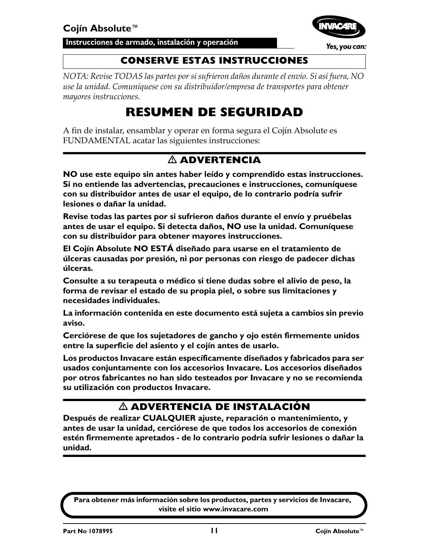**Instrucciones de armado, instalación y operación**



Yes, you can:

#### **CONSERVE ESTAS INSTRUCCIONES**

*NOTA: Revise TODAS las partes por si sufrieron daños durante el envío. Si así fuera, NO use la unidad. Comuníquese con su distribuidor/empresa de transportes para obtener mayores instrucciones.*

## **RESUMEN DE SEGURIDAD**

A fin de instalar, ensamblar y operar en forma segura el Cojín Absolute es FUNDAMENTAL acatar las siguientes instrucciones:

#### **ADVERTENCIA**

**NO use este equipo sin antes haber leído y comprendido estas instrucciones. Si no entiende las advertencias, precauciones e instrucciones, comuníquese con su distribuidor antes de usar el equipo, de lo contrario podría sufrir lesiones o dañar la unidad.**

**Revise todas las partes por si sufrieron daños durante el envío y pruébelas antes de usar el equipo. Si detecta daños, NO use la unidad. Comuníquese con su distribuidor para obtener mayores instrucciones.**

**El Cojín Absolute NO ESTÁ diseñado para usarse en el tratamiento de úlceras causadas por presión, ni por personas con riesgo de padecer dichas úlceras.**

**Consulte a su terapeuta o médico si tiene dudas sobre el alivio de peso, la forma de revisar el estado de su propia piel, o sobre sus limitaciones y necesidades individuales.**

**La información contenida en este documento está sujeta a cambios sin previo aviso.**

**Cerciórese de que los sujetadores de gancho y ojo estén firmemente unidos entre la superficie del asiento y el cojín antes de usarlo.**

**Los productos Invacare están específicamente diseñados y fabricados para ser usados conjuntamente con los accesorios Invacare. Los accesorios diseñados por otros fabricantes no han sido testeados por Invacare y no se recomienda su utilización con productos Invacare.**

#### **ADVERTENCIA DE INSTALACIÓN**

**Después de realizar CUALQUIER ajuste, reparación o mantenimiento, y antes de usar la unidad, cerciórese de que todos los accesorios de conexión estén firmemente apretados - de lo contrario podría sufrir lesiones o dañar la unidad.**

**Para obtener más información sobre los productos, partes y servicios de Invacare, visite el sitio www.invacare.com**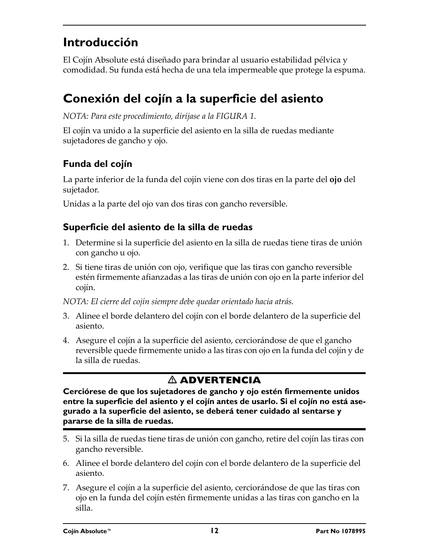### **Introducción**

El Cojín Absolute está diseñado para brindar al usuario estabilidad pélvica y comodidad. Su funda está hecha de una tela impermeable que protege la espuma.

### <span id="page-11-0"></span>**Conexión del cojín a la superficie del asiento**

*NOTA: Para este procedimiento, diríjase a la [FIGURA 1.](#page-12-0)*

El cojín va unido a la superficie del asiento en la silla de ruedas mediante sujetadores de gancho y ojo.

#### **Funda del cojín**

La parte inferior de la funda del cojín viene con dos tiras en la parte del **ojo** del sujetador.

Unidas a la parte del ojo van dos tiras con gancho reversible.

#### **Superficie del asiento de la silla de ruedas**

- 1. Determine si la superficie del asiento en la silla de ruedas tiene tiras de unión con gancho u ojo.
- 2. Si tiene tiras de unión con ojo, verifique que las tiras con gancho reversible estén firmemente afianzadas a las tiras de unión con ojo en la parte inferior del cojín.

*NOTA: El cierre del cojín siempre debe quedar orientado hacia atrás.*

- 3. Alinee el borde delantero del cojín con el borde delantero de la superficie del asiento.
- 4. Asegure el cojín a la superficie del asiento, cerciorándose de que el gancho reversible quede firmemente unido a las tiras con ojo en la funda del cojín y de la silla de ruedas.

### **ADVERTENCIA**

**Cerciórese de que los sujetadores de gancho y ojo estén firmemente unidos entre la superficie del asiento y el cojín antes de usarlo. Si el cojín no está asegurado a la superficie del asiento, se deberá tener cuidado al sentarse y pararse de la silla de ruedas.**

- 5. Si la silla de ruedas tiene tiras de unión con gancho, retire del cojín las tiras con gancho reversible.
- 6. Alinee el borde delantero del cojín con el borde delantero de la superficie del asiento.
- 7. Asegure el cojín a la superficie del asiento, cerciorándose de que las tiras con ojo en la funda del cojín estén firmemente unidas a las tiras con gancho en la silla.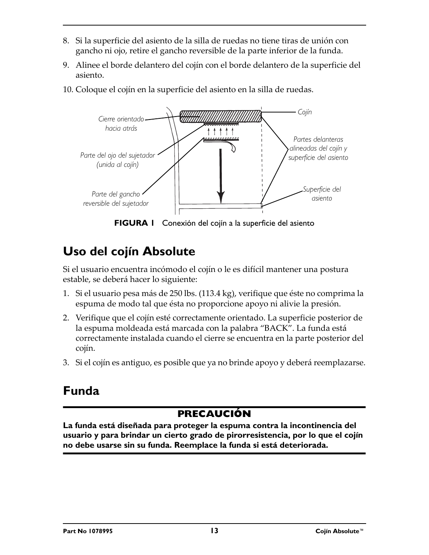- 8. Si la superficie del asiento de la silla de ruedas no tiene tiras de unión con gancho ni ojo, retire el gancho reversible de la parte inferior de la funda.
- 9. Alinee el borde delantero del cojín con el borde delantero de la superficie del asiento.
- 10. Coloque el cojín en la superficie del asiento en la silla de ruedas.



**FIGURA 1** [Conexión del cojín a la superficie del asiento](#page-11-0)

## <span id="page-12-0"></span>**Uso del cojín Absolute**

Si el usuario encuentra incómodo el cojín o le es difícil mantener una postura estable, se deberá hacer lo siguiente:

- 1. Si el usuario pesa más de 250 lbs. (113.4 kg), verifique que éste no comprima la espuma de modo tal que ésta no proporcione apoyo ni alivie la presión.
- 2. Verifique que el cojín esté correctamente orientado. La superficie posterior de la espuma moldeada está marcada con la palabra "BACK". La funda está correctamente instalada cuando el cierre se encuentra en la parte posterior del cojín.
- 3. Si el cojín es antiguo, es posible que ya no brinde apoyo y deberá reemplazarse.

## **Funda**

### **PRECAUCIÓN**

**La funda está diseñada para proteger la espuma contra la incontinencia del usuario y para brindar un cierto grado de pirorresistencia, por lo que el cojín no debe usarse sin su funda. Reemplace la funda si está deteriorada.**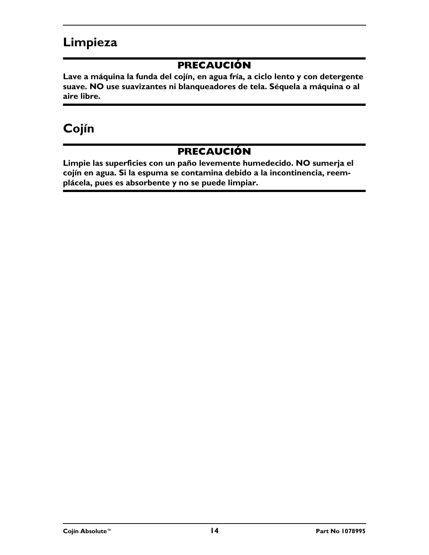### **Limpieza**

#### **PRECAUCIÓN**

**Lave a máquina la funda del cojín, en agua fría, a ciclo lento y con detergente suave. NO use suavizantes ni blanqueadores de tela. Séquela a máquina o al aire libre.**

### **Cojín**

#### **PRECAUCIÓN**

**Limpie las superficies con un paño levemente humedecido. NO sumerja el cojín en agua. Si la espuma se contamina debido a la incontinencia, reemplácela, pues es absorbente y no se puede limpiar.**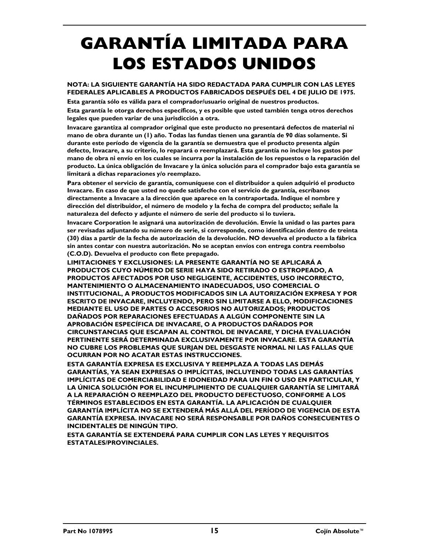# **GARANTÍA LIMITADA PARA LOS ESTADOS UNIDOS**

#### **NOTA: LA SIGUIENTE GARANTÍA HA SIDO REDACTADA PARA CUMPLIR CON LAS LEYES FEDERALES APLICABLES A PRODUCTOS FABRICADOS DESPUÉS DEL 4 DE JULIO DE 1975.**

**Esta garantía sólo es válida para el comprador/usuario original de nuestros productos.**

**Esta garantía le otorga derechos específicos, y es posible que usted también tenga otros derechos legales que pueden variar de una jurisdicción a otra.**

**Invacare garantiza al comprador original que este producto no presentará defectos de material ni mano de obra durante un (1) año. Todas las fundas tienen una garantía de 90 días solamente. Si durante este período de vigencia de la garantía se demuestra que el producto presenta algún defecto, Invacare, a su criterio, lo reparará o reemplazará. Esta garantía no incluye los gastos por mano de obra ni envío en los cuales se incurra por la instalación de los repuestos o la reparación del producto. La única obligación de Invacare y la única solución para el comprador bajo esta garantía se limitará a dichas reparaciones y/o reemplazo.**

**Para obtener el servicio de garantía, comuníquese con el distribuidor a quien adquirió el producto Invacare. En caso de que usted no quede satisfecho con el servicio de garantía, escríbanos directamente a Invacare a la dirección que aparece en la contraportada. Indique el nombre y dirección del distribuidor, el número de modelo y la fecha de compra del producto; señale la naturaleza del defecto y adjunte el número de serie del producto si lo tuviera.**

**Invacare Corporation le asignará una autorización de devolución. Envíe la unidad o las partes para ser revisadas adjuntando su número de serie, si corresponde, como identificación dentro de treinta (30) días a partir de la fecha de autorización de la devolución. NO devuelva el producto a la fábrica sin antes contar con nuestra autorización. No se aceptan envíos con entrega contra reembolso (C.O.D). Devuelva el producto con flete prepagado.**

**LIMITACIONES Y EXCLUSIONES: LA PRESENTE GARANTÍA NO SE APLICARÁ A PRODUCTOS CUYO NÚMERO DE SERIE HAYA SIDO RETIRADO O ESTROPEADO, A PRODUCTOS AFECTADOS POR USO NEGLIGENTE, ACCIDENTES, USO INCORRECTO, MANTENIMIENTO O ALMACENAMIENTO INADECUADOS, USO COMERCIAL O INSTITUCIONAL, A PRODUCTOS MODIFICADOS SIN LA AUTORIZACIÓN EXPRESA Y POR ESCRITO DE INVACARE, INCLUYENDO, PERO SIN LIMITARSE A ELLO, MODIFICACIONES MEDIANTE EL USO DE PARTES O ACCESORIOS NO AUTORIZADOS; PRODUCTOS DAÑADOS POR REPARACIONES EFECTUADAS A ALGÚN COMPONENTE SIN LA APROBACIÓN ESPECÍFICA DE INVACARE, O A PRODUCTOS DAÑADOS POR CIRCUNSTANCIAS QUE ESCAPAN AL CONTROL DE INVACARE, Y DICHA EVALUACIÓN PERTINENTE SERÁ DETERMINADA EXCLUSIVAMENTE POR INVACARE. ESTA GARANTÍA NO CUBRE LOS PROBLEMAS QUE SURJAN DEL DESGASTE NORMAL NI LAS FALLAS QUE OCURRAN POR NO ACATAR ESTAS INSTRUCCIONES.**

**ESTA GARANTÍA EXPRESA ES EXCLUSIVA Y REEMPLAZA A TODAS LAS DEMÁS GARANTÍAS, YA SEAN EXPRESAS O IMPLÍCITAS, INCLUYENDO TODAS LAS GARANTÍAS IMPLÍCITAS DE COMERCIABILIDAD E IDONEIDAD PARA UN FIN O USO EN PARTICULAR, Y LA ÚNICA SOLUCIÓN POR EL INCUMPLIMIENTO DE CUALQUIER GARANTÍA SE LIMITARÁ A LA REPARACIÓN O REEMPLAZO DEL PRODUCTO DEFECTUOSO, CONFORME A LOS TÉRMINOS ESTABLECIDOS EN ESTA GARANTÍA. LA APLICACIÓN DE CUALQUIER GARANTÍA IMPLÍCITA NO SE EXTENDERÁ MÁS ALLÁ DEL PERÍODO DE VIGENCIA DE ESTA GARANTÍA EXPRESA. INVACARE NO SERÁ RESPONSABLE POR DAÑOS CONSECUENTES O INCIDENTALES DE NINGÚN TIPO.**

**ESTA GARANTÍA SE EXTENDERÁ PARA CUMPLIR CON LAS LEYES Y REQUISITOS ESTATALES/PROVINCIALES.**